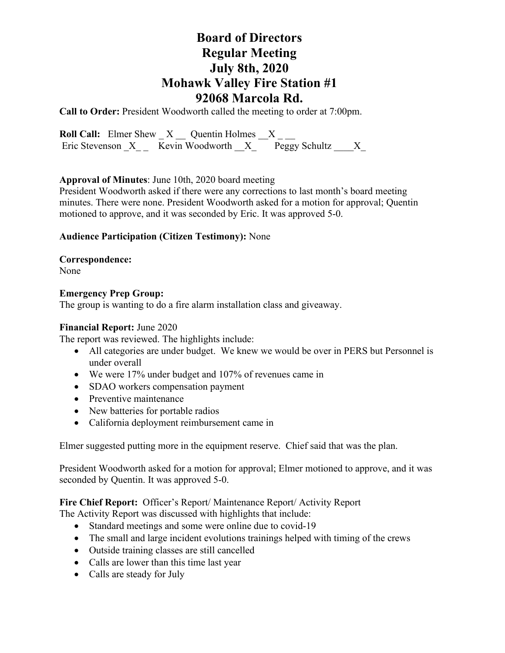# **Board of Directors Regular Meeting July 8th, 2020 Mohawk Valley Fire Station #1 92068 Marcola Rd.**

**Call to Order:** President Woodworth called the meeting to order at 7:00pm.

**Roll Call:** Elmer Shew  $X$   $\_\_$  Quentin Holmes  $\_\_X$   $\_\_$ Eric Stevenson  $X$  Kevin Woodworth  $X$  Peggy Schultz X

### **Approval of Minutes**: June 10th, 2020 board meeting

President Woodworth asked if there were any corrections to last month's board meeting minutes. There were none. President Woodworth asked for a motion for approval; Quentin motioned to approve, and it was seconded by Eric. It was approved 5-0.

## **Audience Participation (Citizen Testimony):** None

**Correspondence:** 

None

### **Emergency Prep Group:**

The group is wanting to do a fire alarm installation class and giveaway.

#### **Financial Report:** June 2020

The report was reviewed. The highlights include:

- All categories are under budget. We knew we would be over in PERS but Personnel is under overall
- We were 17% under budget and 107% of revenues came in
- SDAO workers compensation payment
- Preventive maintenance
- New batteries for portable radios
- California deployment reimbursement came in

Elmer suggested putting more in the equipment reserve. Chief said that was the plan.

President Woodworth asked for a motion for approval; Elmer motioned to approve, and it was seconded by Quentin. It was approved 5-0.

### **Fire Chief Report:** Officer's Report/ Maintenance Report/ Activity Report

The Activity Report was discussed with highlights that include:

- Standard meetings and some were online due to covid-19
- The small and large incident evolutions trainings helped with timing of the crews
- Outside training classes are still cancelled
- Calls are lower than this time last year
- Calls are steady for July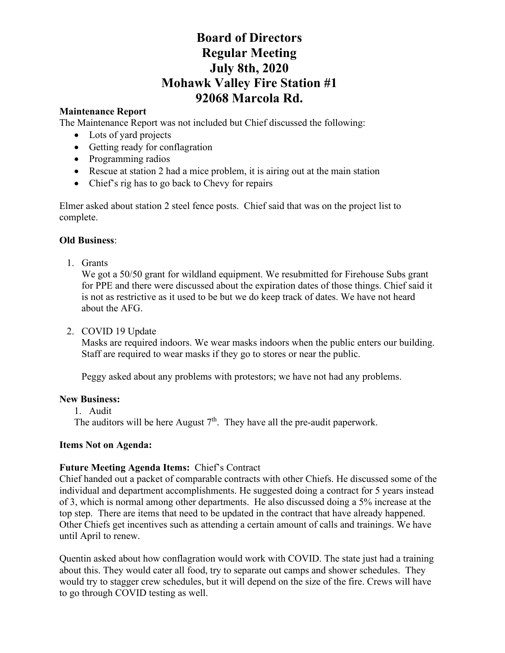# **Board of Directors Regular Meeting July 8th, 2020 Mohawk Valley Fire Station #1 92068 Marcola Rd.**

# **Maintenance Report**

The Maintenance Report was not included but Chief discussed the following:

- Lots of yard projects
- Getting ready for conflagration
- Programming radios
- Rescue at station 2 had a mice problem, it is airing out at the main station
- Chief's rig has to go back to Chevy for repairs

Elmer asked about station 2 steel fence posts. Chief said that was on the project list to complete.

# **Old Business**:

1. Grants

We got a 50/50 grant for wildland equipment. We resubmitted for Firehouse Subs grant for PPE and there were discussed about the expiration dates of those things. Chief said it is not as restrictive as it used to be but we do keep track of dates. We have not heard about the AFG.

2. COVID 19 Update

Masks are required indoors. We wear masks indoors when the public enters our building. Staff are required to wear masks if they go to stores or near the public.

Peggy asked about any problems with protestors; we have not had any problems.

# **New Business:**

1. Audit

The auditors will be here August  $7<sup>th</sup>$ . They have all the pre-audit paperwork.

# **Items Not on Agenda:**

# **Future Meeting Agenda Items:** Chief's Contract

Chief handed out a packet of comparable contracts with other Chiefs. He discussed some of the individual and department accomplishments. He suggested doing a contract for 5 years instead of 3, which is normal among other departments. He also discussed doing a 5% increase at the top step. There are items that need to be updated in the contract that have already happened. Other Chiefs get incentives such as attending a certain amount of calls and trainings. We have until April to renew.

Quentin asked about how conflagration would work with COVID. The state just had a training about this. They would cater all food, try to separate out camps and shower schedules. They would try to stagger crew schedules, but it will depend on the size of the fire. Crews will have to go through COVID testing as well.